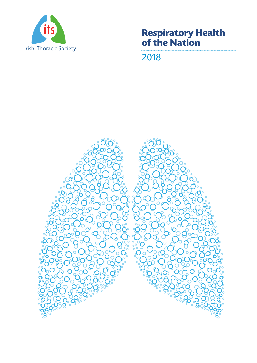

# **Respiratory Health of the Nation**

2018

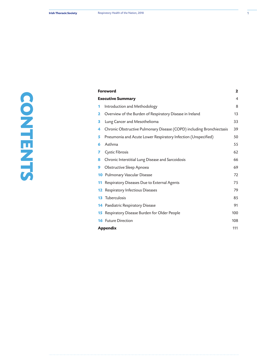| <b>Foreword</b>          |                                                                       | $\mathbf{2}$ |
|--------------------------|-----------------------------------------------------------------------|--------------|
| <b>Executive Summary</b> |                                                                       | 4            |
| 1                        | Introduction and Methodology                                          | 8            |
| 2                        | Overview of the Burden of Respiratory Disease in Ireland              | 13           |
| з                        | Lung Cancer and Mesothelioma                                          | 33           |
| 4                        | Chronic Obstructive Pulmonary Disease (COPD) including Bronchiectasis | 39           |
| 5                        | Pneumonia and Acute Lower Respiratory Infection (Unspecified)         | 50           |
| 6                        | Asthma                                                                | 55           |
| 7                        | <b>Cystic Fibrosis</b>                                                | 62           |
| 8                        | Chronic Interstitial Lung Disease and Sarcoidosis                     | 66           |
| 9                        | Obstructive Sleep Apnoea                                              | 69           |
|                          | <b>10</b> Pulmonary Vascular Disease                                  | 72           |
| 11                       | Respiratory Diseases Due to External Agents                           | 75           |
|                          | <b>12</b> Respiratory Infectious Diseases                             | 79           |
|                          | <b>13</b> Tuberculosis                                                | 85           |
|                          | <b>14</b> Paediatric Respiratory Disease                              | 91           |
| 15                       | Respiratory Disease Burden for Older People                           | 100          |
|                          | <b>16</b> Future Direction                                            | 108          |
|                          | <b>Appendix</b>                                                       |              |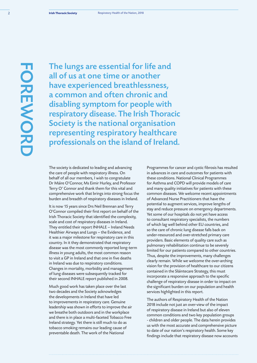# **FOREWORD HOREWERE**

The lungs are essential for life and all of us at one time or another have experienced breathlessness, a common and often chronic and disabling symptom for people with respiratory disease. The Irish Thoracic Society is the national organisation representing respiratory healthcare professionals on the island of Ireland.

The society is dedicated to leading and advancing the care of people with respiratory illness. On behalf of all our members, I wish to congratulate Dr Máire O'Connor, Ms Eimir Hurley, and Professor Terry O' Connor and thank them for this vital and comprehensive work that brings into strong focus the burden and breadth of respiratory diseases in Ireland.

It is now 15 years since Drs Neil Brennan and Terry O'Connor compiled their first report on behalf of the Irish Thoracic Society that identified the complexity, scale and cost of respiratory diseases in Ireland. They entitled their report INHALE – Ireland Needs Healthier Airways and Lungs – the Evidence, and it was a major milestone for respiratory care in this country. In it they demonstrated that respiratory disease was the most commonly reported long-term illness in young adults, the most common reason to visit a GP in Ireland and that one in five deaths in Ireland was due to respiratory conditions. Changes in mortality, morbidity and management of lung diseases were subsequently tracked for their second INHALE report published in 2008.

Much good work has taken place over the last two decades and the Society acknowledges the developments in Ireland that have led to improvements in respiratory care. Genuine leadership was shown in efforts to improve the air we breathe both outdoors and in the workplace and there is in place a multi-faceted Tobacco Free Ireland strategy. Yet there is still much to do as tobacco smoking remains our leading cause of preventable death. The work of the National

Programmes for cancer and cystic fibrosis has resulted in advances in care and outcomes for patients with these conditions. National Clinical Programmes for Asthma and COPD will provide models of care and many quality initiatives for patients with these common diseases. We welcome recent appointments of Advanced Nurse Practitioners that have the potential to augment services, improve lengths of stay and reduce pressure on emergency departments. Yet some of our hospitals do not yet have access to consultant respiratory specialists, the numbers of which lag well behind other EU countries, and so the care of chronic lung disease falls back on under-resourced and over-stretched primary care providers. Basic elements of quality care such as pulmonary rehabilitation continue to be severely limited for our patients compared to other countries. Thus, despite the improvements, many challenges clearly remain. While we welcome the over-arching vision for the provision of healthcare to our citizens contained in the Sláintecare Strategy, this must incorporate a responsive approach to the specific challenge of respiratory disease in order to impact on the significant burden on our population and health services highlighted in this report.

The authors of Respiratory Health of the Nation 2018 include not just an over-view of the impact of respiratory disease in Ireland but also of eleven common conditions and two key population groups - children and older people. The data herein provides us with the most accurate and comprehensive picture to date of our nation's respiratory health. Some key findings include that respiratory disease now accounts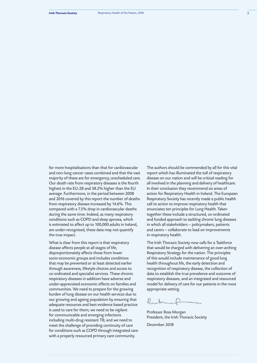for more hospitalisations than that for cardiovascular and non-lung cancer cases combined and that the vast majority of these are for emergency, unscheduled care. Our death rate from respiratory diseases is the fourth highest in the EU-28 and 38.2% higher than the EU average. Furthermore, in the period between 2008 and 2016 covered by this report the number of deaths from respiratory disease increased by 14.6%. This compared with a 7.5% drop in cardiovascular deaths during the same time. Indeed, as many respiratory conditions such as COPD and sleep apnoea, which is estimated to affect up to 100,000 adults in Ireland, are under-recognised, these data may not quantify the true impact.

What is clear from this report is that respiratory disease affects people at all stages of life, disproportionately affects those from lower socio-economic groups and includes conditions that may be prevented or at least detected earlier through awareness, lifestyle choices and access to co-ordinated and specialist services. These chronic respiratory diseases in addition have adverse and under-appreciated economic effects on families and communities. We need to prepare for the growing burden of lung disease on our health services due to our growing and ageing population by ensuring that adequate resources and best evidence based practice is used to care for them; we need to be vigilant for communicable and emerging infections including multi-drug resistant TB; and we need to meet the challenge of providing continuity of care for conditions such as COPD through integrated care with a properly resourced primary care community.

The authors should be commended by all for this vital report which has illuminated the toll of respiratory disease on our nation and will be critical reading for all involved in the planning and delivery of healthcare. In their conclusion they recommend six areas of action for Respiratory Health in Ireland. The European Respiratory Society has recently made a public health call to action to improve respiratory health that enunciates ten principles for Lung Health. Taken together these include a structured, co-ordinated and funded approach to tackling chronic lung diseases in which all stakeholders – policymakers, patients and carers – collaborate to lead on improvements in respiratory health.

The Irish Thoracic Society now calls for a Taskforce that would be charged with delivering an over-arching Respiratory Strategy for the nation. The principles of this would include maintenance of good lung health throughout life, the early detection and recognition of respiratory disease, the collection of data to establish the true prevalence and outcome of respiratory diseases, and an integrated and resourced model for delivery of care for our patients in the most appropriate setting.

Professor Ross Morgan President, the Irish Thoracic Society

December 2018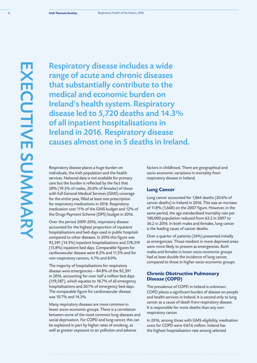Respiratory disease includes a wide range of acute and chronic diseases that substantially contribute to the medical and economic burden on Ireland's health system. Respiratory disease led to 5,720 deaths and 14.3% of all inpatient hospitalisations in Ireland in 2016. Respiratory disease causes almost one in 5 deaths in Ireland.

Respiratory disease places a huge burden on individuals, the Irish population and the health services. National data is not available for primary care but the burden is reflected by the fact that 20% (19.3% of males, 20.6% of females) of those with full General Medical Services (GMS) coverage for the entire year, filled at least one prescription for respiratory medications in 2016. Respiratory medication cost 11% of the GMS budget and 12% of the Drugs Payment Scheme (DPS) budget in 2016.

Over the period 2009-2016, respiratory disease accounted for the highest proportion of inpatient hospitalisations and bed-days used in public hospitals compared to other diseases. In 2016 this figure was 92,391 (14.3%) inpatient hospitalisations and 578,319 (15.8%) inpatient bed days. Comparable figures for cardiovascular disease were 8.2% and 11.3% and for non-respiratory cancers, 4.7% and 8.0%.

The majority of hospitalisations for respiratory disease were emergencies – 84.8% of the 92,391 in 2016, accounting for over half a million bed days (519,587), which equates to 18.7% of all emergency hospitalisations and 20.1% of emergency bed-days. The comparable figure for cardiovascular disease was 10.7% and 14.3%.

Many respiratory diseases are more common in lower socio-economic groups. There is a correlation between some of the most common lung diseases and social deprivation. For COPD and lung cancer, this can be explained in part by higher rates of smoking, as well as greater exposure to air pollution and adverse

factors in childhood. There are geographical and socio-economic variations in mortality from respiratory disease in Ireland.

### **Lung Cancer**

Lung cancer accounted for 1,864 deaths (20.6% of cancer deaths) in Ireland in 2016. This was an increase of 11.8% (1,668) on the 2007 figure. However, in the same period, the age standardised mortality rate per 100,000 population reduced from 63.2 in 2007 to 56.2 in 2016. In both males and females, lung cancer is the leading cause of cancer deaths.

Over a quarter of patients (26%) presented initially as emergencies. Those resident in more deprived areas were more likely to present as emergencies. Both males and females in lower socio-economic groups had at least double the incidence of lung cancer, compared to those in higher socio-economic groups.

### **Chronic Obstructive Pulmonary Disease (COPD)**

The prevalence of COPD in Ireland is unknown. COPD places a significant burden of disease on people and health services in Ireland. It is second only to lung cancer as a cause of death from respiratory disease. It is responsible for more deaths than any nonrespiratory cancer.

In 2016, among those with GMS eligibility, medication costs for COPD were €67.6 million. Ireland has the highest hospitalisation rate among selected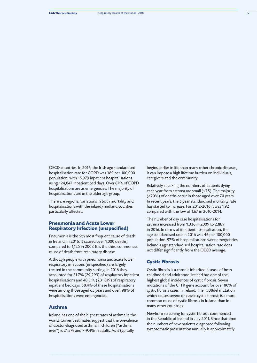OECD countries. In 2016, the Irish age standardised hospitalisation rate for COPD was 389 per 100,000 population, with 15,979 inpatient hospitalisations using 124,847 inpatient bed days. Over 87% of COPD hospitalisations are as emergencies. The majority of hospitalisations are in the older age group.

There are regional variations in both mortality and hospitalisations with the inland/midland counties particularly affected.

### **Pneumonia and Acute Lower Respiratory Infection (unspecified)**

Pneumonia is the 5th most frequent cause of death in Ireland. In 2016, it caused over 1,000 deaths, compared to 1,125 in 2007. It is the third commonest cause of death from respiratory disease.

Although people with pneumonia and acute lower respiratory infections (unspecified) are largely treated in the community setting, in 2016 they accounted for 31.7% (29,293) of respiratory inpatient hospitalisations and 40.3 % (231,819) of respiratory inpatient bed days. 58.4% of these hospitalisations were among those aged 65 years and over; 98% of hospitalisations were emergencies.

### **Asthma**

Ireland has one of the highest rates of asthma in the world. Current estimates suggest that the prevalence of doctor-diagnosed asthma in children ("asthma ever") is 21.5% and 7-9.4% in adults. As it typically

begins earlier in life than many other chronic diseases, it can impose a high lifetime burden on individuals, caregivers and the community.

Relatively speaking the numbers of patients dying each year from asthma are small (<75). The majority (>70%) of deaths occur in those aged over 70 years. In recent years, the 5 year standardised mortality rate has started to increase. For 2012-2016 it was 1.92 compared with the low of 1.67 in 2010-2014.

The number of day case hospitalisations for asthma increased from 1,336 in 2009 to 2,889 in 2016. In terms of inpatient hospitalisation, the age standardised rate in 2016 was 46 per 100,000 population. 97% of hospitalisations were emergencies. Ireland's age standardised hospitalisation rate does not differ significantly from the OECD average.

### **Cystic Fibrosis**

Cystic fibrosis is a chronic inherited disease of both childhood and adulthood. Ireland has one of the highest global incidences of cystic fibrosis. Seven mutations of the CFTR gene account for over 80% of cystic fibrosis cases in Ireland. The F508del mutation which causes severe or classic cystic fibrosis is a more common cause of cystic fibrosis in Ireland than in many other countries.

Newborn screening for cystic fibrosis commenced in the Republic of Ireland in July 2011. Since that time the numbers of new patients diagnosed following symptomatic presentation annually is approximately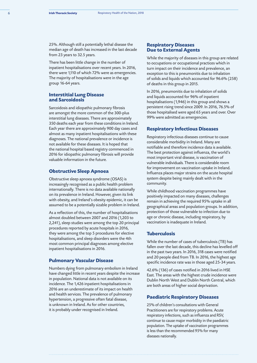25%. Although still a potentially lethal disease the median age of death has increased in the last decade from 23 years to 32.5 years.

There has been little change in the number of inpatient hospitalisations over recent years. In 2016, there were 1,110 of which 72% were as emergencies. The majority of hospitalisations were in the age group 16-64 years.

### **Interstitial Lung Disease and Sarcoidosis**

Sarcoidosis and idiopathic pulmonary fibrosis are amongst the more common of the 300-plus interstitial lung diseases. There are approximately 350 deaths each year from these conditions in Ireland. Each year there are approximately 900 day cases and almost as many inpatient hospitalisations with these diagnoses. The national prevalence or incidence is not available for these diseases. It is hoped that the national hospital based registry commenced in 2016 for idiopathic pulmonary fibrosis will provide valuable information in the future.

### **Obstructive Sleep Apnoea**

Obstructive sleep apnoea syndrome (OSAS) is increasingly recognised as a public health problem internationally. There is no data available nationally on its prevalence in Ireland. However, given its link with obesity, and Ireland's obesity epidemic, it can be assumed to be a potentially sizable problem in Ireland.

As a reflection of this, the number of hospitalisations almost doubled between 2007 and 2016 (1,203 to 2,241), sleep studies were among the top 20 principal procedures reported by acute hospitals in 2016, they were among the top 5 procedures for elective hospitalisations, and sleep disorders were the 4th most common principal diagnoses among elective inpatient hospitalisations in 2016.

### **Pulmonary Vascular Disease**

Numbers dying from pulmonary embolism in Ireland have changed little in recent years despite the increase in population. National data is not available on its incidence. The 1,426 inpatient hospitalisations in 2016 are an underestimate of its impact on health and health services. The prevalence of pulmonary hypertension, a progressive often fatal disease, is unknown in Ireland. As for other countries, it is probably under recognised in Ireland.

### **Respiratory Diseases Due to External Agents**

While the majority of diseases in this group are related to occupations or occupational practices which in turn impact on their incidence and prevalence, an exception to this is pneumonitis due to inhalation of solids and liquids which accounted for 96.6% (258) of deaths in this group in 2015.

In 2016, pneumonitis due to inhalation of solids and liquids accounted for 96% of inpatient hospitalisations (1,946) in this group and shows a persistent rising trend since 2009. In 2016, 76.5% of those hospitalised were aged 65 years and over. Over 99% were admitted as emergencies.

### **Respiratory Infectious Diseases**

Respiratory infectious diseases continue to cause considerable morbidity in Ireland. Many are notifiable and therefore incidence data is available. The best protection against influenza, the world's most important viral disease, is vaccination of vulnerable individuals. There is considerable room for improvement on vaccination uptake in Ireland. Influenza places major strains on the acute hospital system despite being mainly dealt with in the community.

While childhood vaccination programmes have positively impacted on many diseases, challenges remain in achieving the required 95% uptake in all geographical areas and population groups. In addition, protection of those vulnerable to infection due to age or chronic disease, including respiratory, by vaccination is inadequate in Ireland.

### **Tuberculosis**

While the number of cases of tuberculosis (TB) has fallen over the last decade, this decline has levelled off in the past two years. In 2016, 318 cases were notified and 20 people died from TB. In 2016, the highest age specific incidence rate was in those aged 25-34 years.

42.6% (136) of cases notified in 2016 lived in HSE East. The areas with the highest crude incidence were Dublin North West and Dublin North Central, which are both areas of higher social deprivation.

### **Paediatric Respiratory Diseases**

25% of children's consultations with General Practitioners are for respiratory problems. Acute respiratory infections, such as influenza and RSV, continue to cause major morbidity in the paediatric population. The uptake of vaccination programmes is less than the recommended 95% for many diseases nationally.